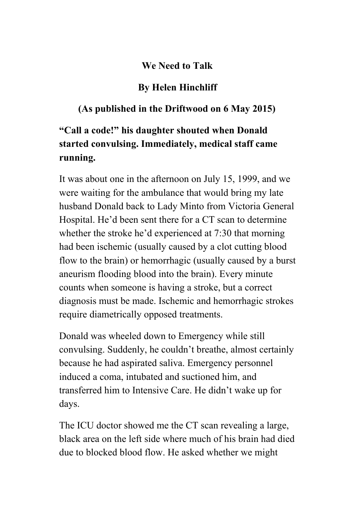## **We Need to Talk**

## **By Helen Hinchliff**

## **(As published in the Driftwood on 6 May 2015)**

## **"Call a code!" his daughter shouted when Donald started convulsing. Immediately, medical staff came running.**

It was about one in the afternoon on July 15, 1999, and we were waiting for the ambulance that would bring my late husband Donald back to Lady Minto from Victoria General Hospital. He'd been sent there for a CT scan to determine whether the stroke he'd experienced at 7:30 that morning had been ischemic (usually caused by a clot cutting blood flow to the brain) or hemorrhagic (usually caused by a burst aneurism flooding blood into the brain). Every minute counts when someone is having a stroke, but a correct diagnosis must be made. Ischemic and hemorrhagic strokes require diametrically opposed treatments.

Donald was wheeled down to Emergency while still convulsing. Suddenly, he couldn't breathe, almost certainly because he had aspirated saliva. Emergency personnel induced a coma, intubated and suctioned him, and transferred him to Intensive Care. He didn't wake up for days.

The ICU doctor showed me the CT scan revealing a large, black area on the left side where much of his brain had died due to blocked blood flow. He asked whether we might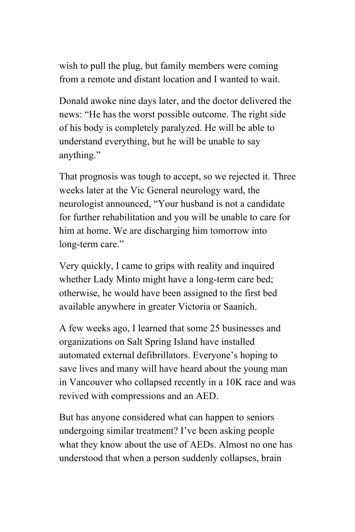wish to pull the plug, but family members were coming from a remote and distant location and I wanted to wait.

Donald awoke nine days later, and the doctor delivered the news: "He has the worst possible outcome. The right side of his body is completely paralyzed. He will be able to understand everything, but he will be unable to say anything."

That prognosis was tough to accept, so we rejected it. Three weeks later at the Vic General neurology ward, the neurologist announced, "Your husband is not a candidate for further rehabilitation and you will be unable to care for him at home. We are discharging him tomorrow into long-term care."

Very quickly, I came to grips with reality and inquired whether Lady Minto might have a long-term care bed; otherwise, he would have been assigned to the first bed available anywhere in greater Victoria or Saanich.

A few weeks ago, I learned that some 25 businesses and organizations on Salt Spring Island have installed automated external defibrillators. Everyone's hoping to save lives and many will have heard about the young man in Vancouver who collapsed recently in a 10K race and was revived with compressions and an AED.

But has anyone considered what can happen to seniors undergoing similar treatment? I've been asking people what they know about the use of AEDs. Almost no one has understood that when a person suddenly collapses, brain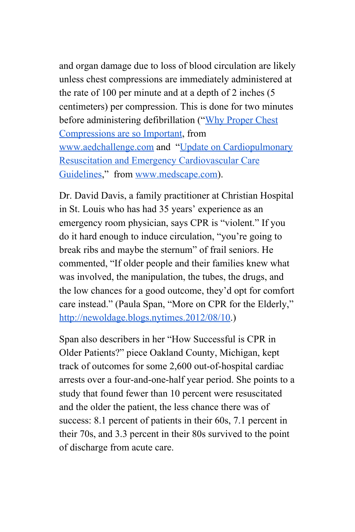and organ damage due to loss of blood circulation are likely unless chest compressions are immediately administered at the rate of 100 per minute and at a depth of 2 inches (5 centimeters) per compression. This is done for two minutes before administering defibrillation ("Why [Proper](http://www.aedchallenge.com/articles/whycompsimportant.php) Chest [Compressions](http://www.aedchallenge.com/articles/whycompsimportant.php) are so Important, from [www.aedchallenge.com](http://www.aedchallenge.com/) and "Update on [Cardiopulmonary](http://www.medscape.com/viewarticle/585396) Resuscitation and Emergency [Cardiovascular](http://www.medscape.com/viewarticle/585396) Care [Guidelines,](http://www.medscape.com/viewarticle/585396)" from [www.medscape.com\)](http://www.medscape.com/).

Dr. David Davis, a family practitioner at Christian Hospital in St. Louis who has had 35 years' experience as an emergency room physician, says CPR is "violent." If you do it hard enough to induce circulation, "you're going to break ribs and maybe the sternum" of frail seniors. He commented, "If older people and their families knew what was involved, the manipulation, the tubes, the drugs, and the low chances for a good outcome, they'd opt for comfort care instead." (Paula Span, "More on CPR for the Elderly," http://newoldage.blogs.nytimes.2012/08/10.)

Span also describers in her "How Successful is CPR in Older Patients?" piece Oakland County, Michigan, kept track of outcomes for some 2,600 out-of-hospital cardiac arrests over a four-and-one-half year period. She points to a study that found fewer than 10 percent were resuscitated and the older the patient, the less chance there was of success: 8.1 percent of patients in their 60s, 7.1 percent in their 70s, and 3.3 percent in their 80s survived to the point of discharge from acute care.